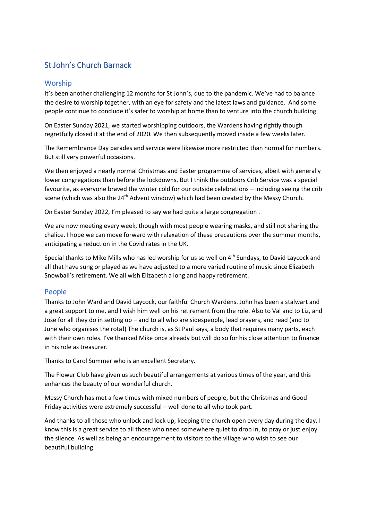# St John's Church Barnack

### Worship

It's been another challenging 12 months for St John's, due to the pandemic. We've had to balance the desire to worship together, with an eye for safety and the latest laws and guidance. And some people continue to conclude it's safer to worship at home than to venture into the church building.

On Easter Sunday 2021, we started worshipping outdoors, the Wardens having rightly though regretfully closed it at the end of 2020. We then subsequently moved inside a few weeks later.

The Remembrance Day parades and service were likewise more restricted than normal for numbers. But still very powerful occasions.

We then enjoyed a nearly normal Christmas and Easter programme of services, albeit with generally lower congregations than before the lockdowns. But I think the outdoors Crib Service was a special favourite, as everyone braved the winter cold for our outside celebrations – including seeing the crib scene (which was also the 24<sup>th</sup> Advent window) which had been created by the Messy Church.

On Easter Sunday 2022, I'm pleased to say we had quite a large congregation .

We are now meeting every week, though with most people wearing masks, and still not sharing the chalice. I hope we can move forward with relaxation of these precautions over the summer months, anticipating a reduction in the Covid rates in the UK.

Special thanks to Mike Mills who has led worship for us so well on 4<sup>th</sup> Sundays, to David Laycock and all that have sung or played as we have adjusted to a more varied routine of music since Elizabeth Snowball's retirement. We all wish Elizabeth a long and happy retirement.

### People

Thanks to John Ward and David Laycock, our faithful Church Wardens. John has been a stalwart and a great support to me, and I wish him well on his retirement from the role. Also to Val and to Liz, and Jose for all they do in setting up – and to all who are sidespeople, lead prayers, and read (and to June who organises the rota!) The church is, as St Paul says, a body that requires many parts, each with their own roles. I've thanked Mike once already but will do so for his close attention to finance in his role as treasurer.

Thanks to Carol Summer who is an excellent Secretary.

The Flower Club have given us such beautiful arrangements at various times of the year, and this enhances the beauty of our wonderful church.

Messy Church has met a few times with mixed numbers of people, but the Christmas and Good Friday activities were extremely successful – well done to all who took part.

And thanks to all those who unlock and lock up, keeping the church open every day during the day. I know this is a great service to all those who need somewhere quiet to drop in, to pray or just enjoy the silence. As well as being an encouragement to visitors to the village who wish to see our beautiful building.